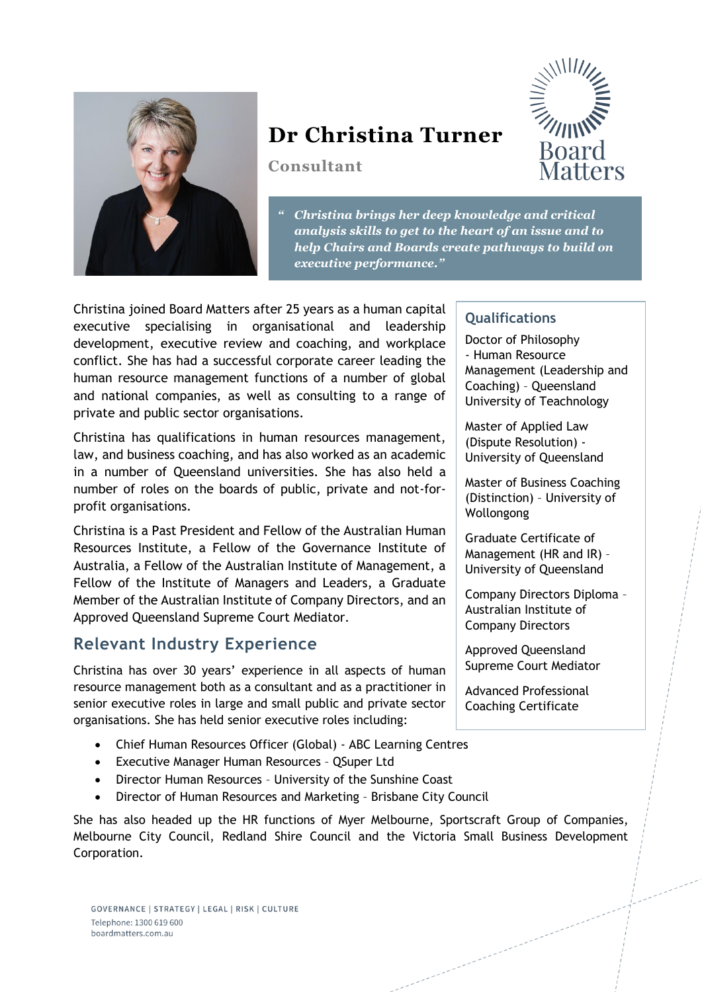

# **Dr Christina Turner**

**Consultant**



*" Christina brings her deep knowledge and critical analysis skills to get to the heart of an issue and to help Chairs and Boards create pathways to build on executive performance."*

Christina joined Board Matters after 25 years as a human capital executive specialising in organisational and leadership development, executive review and coaching, and workplace conflict. She has had a successful corporate career leading the human resource management functions of a number of global and national companies, as well as consulting to a range of private and public sector organisations.

Christina has qualifications in human resources management, law, and business coaching, and has also worked as an academic in a number of Queensland universities. She has also held a number of roles on the boards of public, private and not-forprofit organisations.

Christina is a Past President and Fellow of the Australian Human Resources Institute, a Fellow of the Governance Institute of Australia, a Fellow of the Australian Institute of Management, a Fellow of the Institute of Managers and Leaders, a Graduate Member of the Australian Institute of Company Directors, and an Approved Queensland Supreme Court Mediator.

### **Relevant Industry Experience**

Christina has over 30 years' experience in all aspects of human resource management both as a consultant and as a practitioner in senior executive roles in large and small public and private sector organisations. She has held senior executive roles including:

- Chief Human Resources Officer (Global) ABC Learning Centres
- Executive Manager Human Resources QSuper Ltd
- Director Human Resources University of the Sunshine Coast
- Director of Human Resources and Marketing Brisbane City Council

She has also headed up the HR functions of Myer Melbourne, Sportscraft Group of Companies, Melbourne City Council, Redland Shire Council and the Victoria Small Business Development Corporation.

#### **Qualifications**

Doctor of Philosophy - Human Resource Management (Leadership and Coaching) – Queensland University of Teachnology

Master of Applied Law (Dispute Resolution) - University of Queensland

Master of Business Coaching (Distinction) – University of Wollongong

Graduate Certificate of Management (HR and IR) – University of Queensland

Company Directors Diploma – Australian Institute of Company Directors

Approved Queensland Supreme Court Mediator

Advanced Professional Coaching Certificate